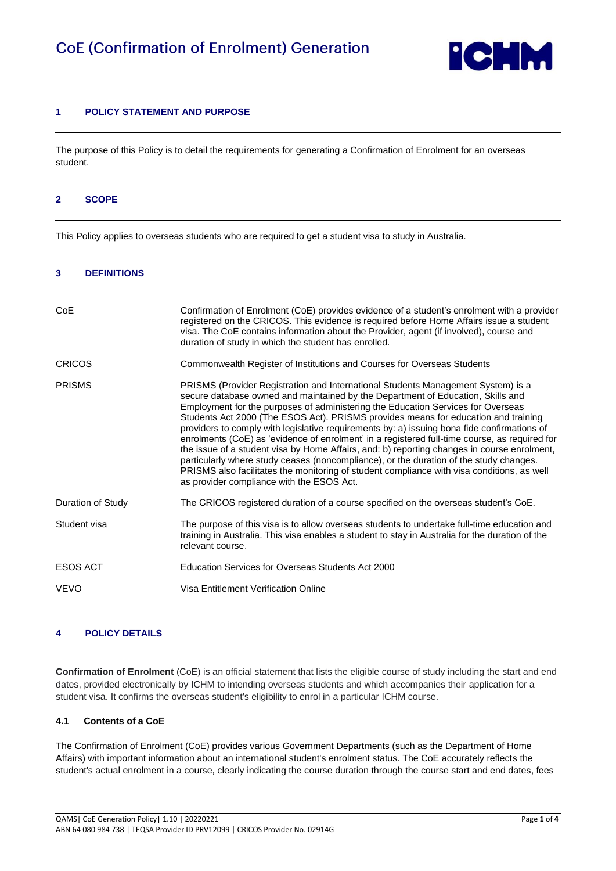

# **1 POLICY STATEMENT AND PURPOSE**

The purpose of this Policy is to detail the requirements for generating a Confirmation of Enrolment for an overseas student.

#### **2 SCOPE**

This Policy applies to overseas students who are required to get a student visa to study in Australia.

#### **3 DEFINITIONS**

| CoE               | Confirmation of Enrolment (CoE) provides evidence of a student's enrolment with a provider<br>registered on the CRICOS. This evidence is required before Home Affairs issue a student<br>visa. The CoE contains information about the Provider, agent (if involved), course and<br>duration of study in which the student has enrolled.                                                                                                                                                                                                                                                                                                                                                                                                                                                                                                                                           |  |
|-------------------|-----------------------------------------------------------------------------------------------------------------------------------------------------------------------------------------------------------------------------------------------------------------------------------------------------------------------------------------------------------------------------------------------------------------------------------------------------------------------------------------------------------------------------------------------------------------------------------------------------------------------------------------------------------------------------------------------------------------------------------------------------------------------------------------------------------------------------------------------------------------------------------|--|
| <b>CRICOS</b>     | Commonwealth Register of Institutions and Courses for Overseas Students                                                                                                                                                                                                                                                                                                                                                                                                                                                                                                                                                                                                                                                                                                                                                                                                           |  |
| <b>PRISMS</b>     | PRISMS (Provider Registration and International Students Management System) is a<br>secure database owned and maintained by the Department of Education, Skills and<br>Employment for the purposes of administering the Education Services for Overseas<br>Students Act 2000 (The ESOS Act). PRISMS provides means for education and training<br>providers to comply with legislative requirements by: a) issuing bona fide confirmations of<br>enrolments (CoE) as 'evidence of enrolment' in a registered full-time course, as required for<br>the issue of a student visa by Home Affairs, and: b) reporting changes in course enrolment,<br>particularly where study ceases (noncompliance), or the duration of the study changes.<br>PRISMS also facilitates the monitoring of student compliance with visa conditions, as well<br>as provider compliance with the ESOS Act. |  |
| Duration of Study | The CRICOS registered duration of a course specified on the overseas student's CoE.                                                                                                                                                                                                                                                                                                                                                                                                                                                                                                                                                                                                                                                                                                                                                                                               |  |
| Student visa      | The purpose of this visa is to allow overseas students to undertake full-time education and<br>training in Australia. This visa enables a student to stay in Australia for the duration of the<br>relevant course.                                                                                                                                                                                                                                                                                                                                                                                                                                                                                                                                                                                                                                                                |  |
| <b>ESOS ACT</b>   | Education Services for Overseas Students Act 2000                                                                                                                                                                                                                                                                                                                                                                                                                                                                                                                                                                                                                                                                                                                                                                                                                                 |  |
| <b>VEVO</b>       | Visa Entitlement Verification Online                                                                                                                                                                                                                                                                                                                                                                                                                                                                                                                                                                                                                                                                                                                                                                                                                                              |  |
|                   |                                                                                                                                                                                                                                                                                                                                                                                                                                                                                                                                                                                                                                                                                                                                                                                                                                                                                   |  |

# **4 POLICY DETAILS**

**Confirmation of Enrolment** (CoE) is an official statement that lists the eligible course of study including the start and end dates, provided electronically by ICHM to intending overseas students and which accompanies their application for a student visa. It confirms the overseas student's eligibility to enrol in a particular ICHM course.

#### **4.1 Contents of a CoE**

The Confirmation of Enrolment (CoE) provides various Government Departments (such as the Department of Home Affairs) with important information about an international student's enrolment status. The CoE accurately reflects the student's actual enrolment in a course, clearly indicating the course duration through the course start and end dates, fees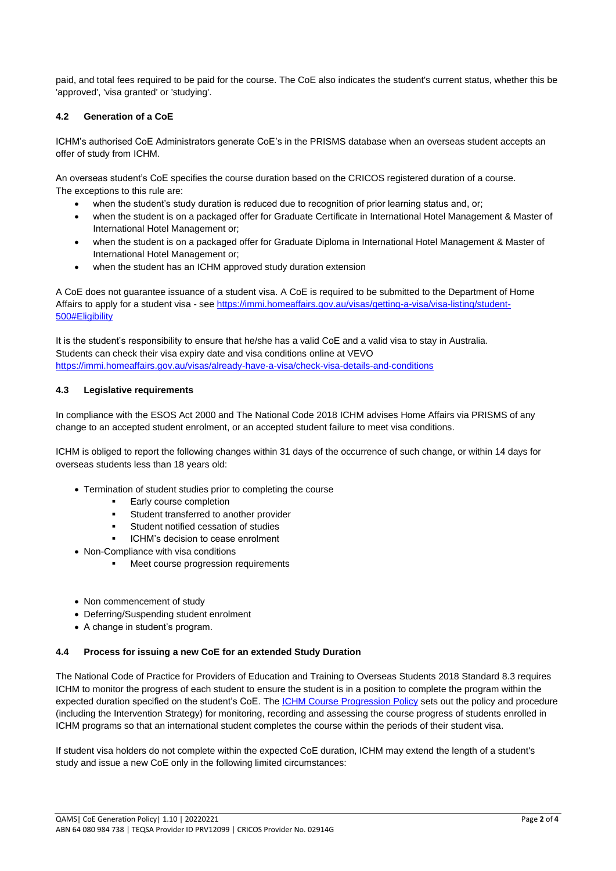paid, and total fees required to be paid for the course. The CoE also indicates the student's current status, whether this be 'approved', 'visa granted' or 'studying'.

# **4.2 Generation of a CoE**

ICHM's authorised CoE Administrators generate CoE's in the PRISMS database when an overseas student accepts an offer of study from ICHM.

An overseas student's CoE specifies the course duration based on the CRICOS registered duration of a course. The exceptions to this rule are:

- when the student's study duration is reduced due to recognition of prior learning status and, or;
- when the student is on a packaged offer for Graduate Certificate in International Hotel Management & Master of International Hotel Management or;
- when the student is on a packaged offer for Graduate Diploma in International Hotel Management & Master of International Hotel Management or;
- when the student has an ICHM approved study duration extension

A CoE does not guarantee issuance of a student visa. A CoE is required to be submitted to the Department of Home Affairs to apply for a student visa - see [https://immi.homeaffairs.gov.au/visas/getting-a-visa/visa-listing/student-](https://immi.homeaffairs.gov.au/visas/getting-a-visa/visa-listing/student-500#Eligibility)[500#Eligibility](https://immi.homeaffairs.gov.au/visas/getting-a-visa/visa-listing/student-500#Eligibility)

It is the student's responsibility to ensure that he/she has a valid CoE and a valid visa to stay in Australia. Students can check their visa expiry date and visa conditions online at VEVO <https://immi.homeaffairs.gov.au/visas/already-have-a-visa/check-visa-details-and-conditions>

# **4.3 Legislative requirements**

In compliance with the ESOS Act 2000 and The National Code 2018 ICHM advises Home Affairs via PRISMS of any change to an accepted student enrolment, or an accepted student failure to meet visa conditions.

ICHM is obliged to report the following changes within 31 days of the occurrence of such change, or within 14 days for overseas students less than 18 years old:

- Termination of student studies prior to completing the course
	- Early course completion
		- Student transferred to another provider
		- Student notified cessation of studies
		- ICHM's decision to cease enrolment
- Non-Compliance with visa conditions
	- Meet course progression requirements
- Non commencement of study
- Deferring/Suspending student enrolment
- A change in student's program.

#### **4.4 Process for issuing a new CoE for an extended Study Duration**

The National Code of Practice for Providers of Education and Training to Overseas Students 2018 Standard 8.3 requires ICHM to monitor the progress of each student to ensure the student is in a position to complete the program within the expected duration specified on the student's CoE. Th[e ICHM Course Progression Policy](https://www.ichm.edu.au/about-ichm/student-policies-and-procedures) sets out the policy and procedure (including the Intervention Strategy) for monitoring, recording and assessing the course progress of students enrolled in ICHM programs so that an international student completes the course within the periods of their student visa.

If student visa holders do not complete within the expected CoE duration, ICHM may extend the length of a student's study and issue a new CoE only in the following limited circumstances: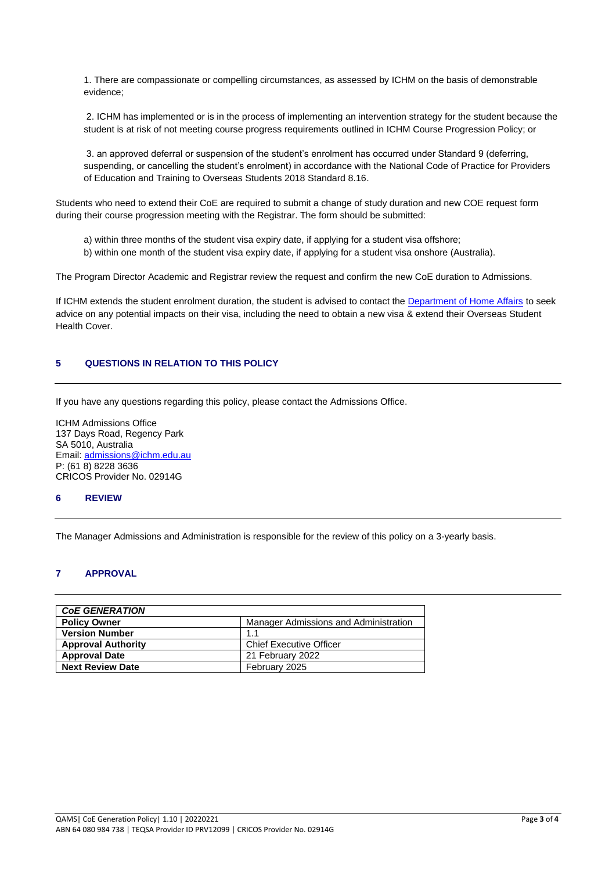1. There are compassionate or compelling circumstances, as assessed by ICHM on the basis of demonstrable evidence;

2. ICHM has implemented or is in the process of implementing an intervention strategy for the student because the student is at risk of not meeting course progress requirements outlined in ICHM Course Progression Policy; or

3. an approved deferral or suspension of the student's enrolment has occurred under Standard 9 (deferring, suspending, or cancelling the student's enrolment) in accordance with the National Code of Practice for Providers of Education and Training to Overseas Students 2018 Standard 8.16.

Students who need to extend their CoE are required to submit a change of study duration and new COE request form during their course progression meeting with the Registrar. The form should be submitted:

- a) within three months of the student visa expiry date, if applying for a student visa offshore;
- b) within one month of the student visa expiry date, if applying for a student visa onshore (Australia).

The Program Director Academic and Registrar review the request and confirm the new CoE duration to Admissions.

If ICHM extends the student enrolment duration, the student is advised to contact the [Department of Home Affairs](https://immi.homeaffairs.gov.au/) to seek advice on any potential impacts on their visa, including the need to obtain a new visa & extend their Overseas Student Health Cover.

# **5 QUESTIONS IN RELATION TO THIS POLICY**

If you have any questions regarding this policy, please contact the Admissions Office.

ICHM Admissions Office 137 Days Road, Regency Park SA 5010, Australia Email[: admissions@ichm.edu.au](mailto:admissions@ichm.edu.au) P: (61 8) 8228 3636 CRICOS Provider No. 02914G

# **6 REVIEW**

The Manager Admissions and Administration is responsible for the review of this policy on a 3-yearly basis.

# **7 APPROVAL**

| <b>COE GENERATION</b>     |                                       |  |  |  |
|---------------------------|---------------------------------------|--|--|--|
| <b>Policy Owner</b>       | Manager Admissions and Administration |  |  |  |
| <b>Version Number</b>     | 1.1                                   |  |  |  |
| <b>Approval Authority</b> | <b>Chief Executive Officer</b>        |  |  |  |
| <b>Approval Date</b>      | 21 February 2022                      |  |  |  |
| <b>Next Review Date</b>   | February 2025                         |  |  |  |